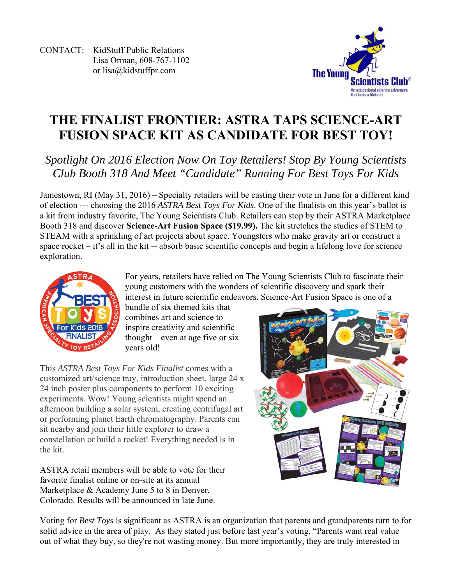CONTACT: KidStuff Public Relations Lisa Orman, 608-767-1102 or lisa@kidstuffpr.com



## **THE FINALIST FRONTIER: ASTRA TAPS SCIENCE-ART FUSION SPACE KIT AS CANDIDATE FOR BEST TOY!**

## *Spotlight On 2016 Election Now On Toy Retailers! Stop By Young Scientists Club Booth 318 And Meet "Candidate" Running For Best Toys For Kids*

Jamestown, RI (May 31, 2016) – Specialty retailers will be casting their vote in June for a different kind of election --- choosing the 2016 *ASTRA Best Toys For Kids*. One of the finalists on this year's ballot is a kit from industry favorite, The Young Scientists Club. Retailers can stop by their ASTRA Marketplace Booth 318 and discover **Science-Art Fusion Space (\$19.99).** The kit stretches the studies of STEM to STEAM with a sprinkling of art projects about space. Youngsters who make gravity art or construct a space rocket – it's all in the kit -- absorb basic scientific concepts and begin a lifelong love for science exploration.



For years, retailers have relied on The Young Scientists Club to fascinate their young customers with the wonders of scientific discovery and spark their interest in future scientific endeavors. Science-Art Fusion Space is one of a

bundle of six themed kits that combines art and science to inspire creativity and scientific thought – even at age five or six years old!

This *ASTRA Best Toys For Kids Finalist* comes with a customized art/science tray, introduction sheet, large 24 x 24 inch poster plus components to perform 10 exciting experiments. Wow! Young scientists might spend an afternoon building a solar system, creating centrifugal art or performing planet Earth chromatography. Parents can sit nearby and join their little explorer to draw a constellation or build a rocket! Everything needed is in the kit.

ASTRA retail members will be able to vote for their favorite finalist online or on-site at its annual Marketplace & Academy June 5 to 8 in Denver, Colorado. Results will be announced in late June.



Voting for *Best Toys* is significant as ASTRA is an organization that parents and grandparents turn to for solid advice in the area of play. As they stated just before last year's voting, "Parents want real value out of what they buy, so they're not wasting money. But more importantly, they are truly interested in